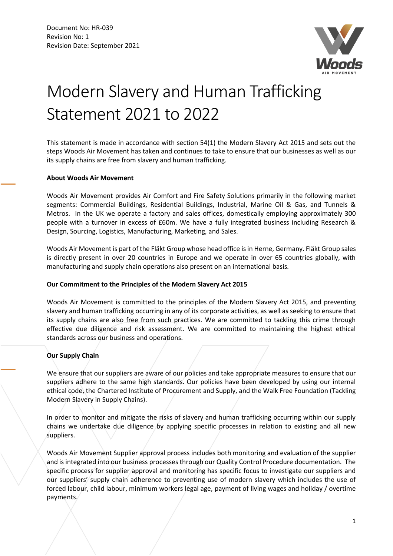

# Modern Slavery and Human Trafficking Statement 2021 to 2022

This statement is made in accordance with section 54(1) the Modern Slavery Act 2015 and sets out the steps Woods Air Movement has taken and continues to take to ensure that our businesses as well as our its supply chains are free from slavery and human trafficking.

#### **About Woods Air Movement**

Woods Air Movement provides Air Comfort and Fire Safety Solutions primarily in the following market segments: Commercial Buildings, Residential Buildings, Industrial, Marine Oil & Gas, and Tunnels & Metros. In the UK we operate a factory and sales offices, domestically employing approximately 300 people with a turnover in excess of £60m. We have a fully integrated business including Research & Design, Sourcing, Logistics, Manufacturing, Marketing, and Sales.

Woods Air Movement is part of the Fläkt Group whose head office is in Herne, Germany. Fläkt Group sales is directly present in over 20 countries in Europe and we operate in over 65 countries globally, with manufacturing and supply chain operations also present on an international basis.

# **Our Commitment to the Principles of the Modern Slavery Act 2015**

Woods Air Movement is committed to the principles of the Modern Slavery Act 2015, and preventing slavery and human trafficking occurring in any of its corporate activities, as well as seeking to ensure that its supply chains are also free from such practices*.* We are committed to tackling this crime through effective due diligence and risk assessment. We are committed to maintaining the highest ethical standards across our business and operations.

# **Our Supply Chain**

We ensure that our suppliers are aware of our policies and take appropriate measures to ensure that our suppliers adhere to the same high standards. Our policies have been developed by using our internal ethical code, the Chartered Institute of Procurement and Supply, and the Walk Free Foundation (Tackling Modern Slavery in Supply Chains).

In order to monitor and mitigate the risks of slavery and human trafficking occurring within our supply chains we undertake due diligence by applying specific processes in relation to existing and all new suppliers.

Woods Air Movement Supplier approval process includes both monitoring and evaluation of the supplier and is integrated into our business processes through our Quality Control Procedure documentation. The specific process for supplier approval and monitoring has specific focus to investigate our suppliers and our suppliers' supply chain adherence to preventing use of modern slavery which includes the use of forced labour, child labour, minimum workers legal age, payment of living wages and holiday / overtime payments.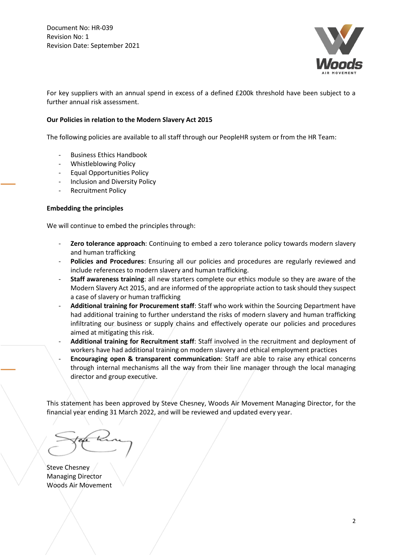Document No: HR-039 Revision No: 1 Revision Date: September 2021



For key suppliers with an annual spend in excess of a defined £200k threshold have been subject to a further annual risk assessment.

### **Our Policies in relation to the Modern Slavery Act 2015**

The following policies are available to all staff through our PeopleHR system or from the HR Team:

- Business Ethics Handbook
- Whistleblowing Policy
- Equal Opportunities Policy
- Inclusion and Diversity Policy
- Recruitment Policy

#### **Embedding the principles**

We will continue to embed the principles through:

- Zero tolerance approach: Continuing to embed a zero tolerance policy towards modern slavery and human trafficking
- Policies and Procedures: Ensuring all our policies and procedures are regularly reviewed and include references to modern slavery and human trafficking.
- **Staff awareness training**: all new starters complete our ethics module so they are aware of the Modern Slavery Act 2015, and are informed of the appropriate action to task should they suspect a case of slavery or human trafficking
- **Additional training for Procurement staff**: Staff who work within the Sourcing Department have had additional training to further understand the risks of modern slavery and human trafficking infiltrating our business or supply chains and effectively operate our policies and procedures aimed at mitigating this risk.
- **Additional training for Recruitment staff**: Staff involved in the recruitment and deployment of workers have had additional training on modern slavery and ethical employment practices
- **Encouraging open & transparent communication**: Staff are able to raise any ethical concerns through internal mechanisms all the way from their line manager through the local managing director and group executive.

This statement has been approved by Steve Chesney, Woods Air Movement Managing Director, for the financial year ending 31 March 2022, and will be reviewed and updated every year.

Steve Chesney Managing Director Woods Air Movement